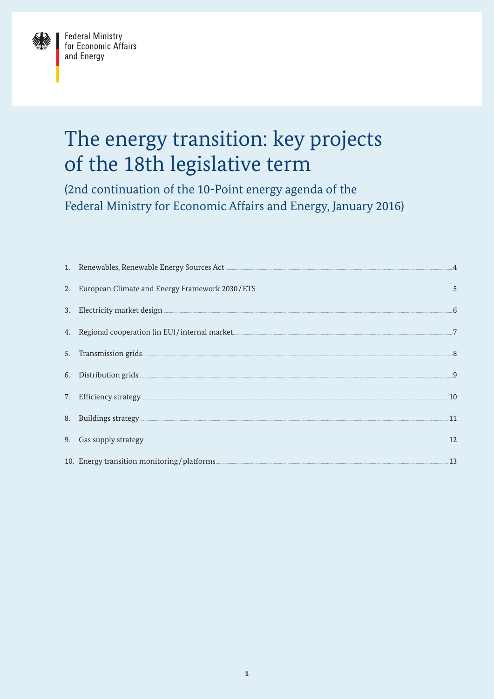

# The energy transition: key projects of the 18th legislative term

(2nd continuation of the 10-Point energy agenda of the Federal Ministry for Economic Affairs and Energy, January 2016)

| 1. Renewables, Renewable Energy Sources Act Manuscript Communication and Communication of the Second Line of the Second Line of the Second Line of the Second Line of the Second Line of the Second Line of the Second Line of | .4                       |
|--------------------------------------------------------------------------------------------------------------------------------------------------------------------------------------------------------------------------------|--------------------------|
| 2. European Climate and Energy Framework 2030/ETS _______________________________                                                                                                                                              | $-5$                     |
|                                                                                                                                                                                                                                | 6                        |
| 4. Regional cooperation (in EU)/internal market. The contract of the contract of the contract of the contract of the contract of the contract of the contract of the contract of the contract of the contract of the contract  | 7                        |
|                                                                                                                                                                                                                                | $\mathbf{8}$             |
| 6. Distribution grids and the control of the control of the control of the control of the control of the control of the control of the control of the control of the control of the control of the control of the control of t | $\overline{\mathcal{Q}}$ |
| 7. Efficiency strategy experience and the strategy of the strategy and the strategy of the strategy and the strategy of the strategy and the strategy of the strategy and the strategy of the strategy and the strategy of the | .10                      |
| 8. Buildings strategy and the control of the control of the control of the control of the control of the control of the control of the control of the control of the control of the control of the control of the control of t | .11                      |
|                                                                                                                                                                                                                                | .12                      |
| 10. Energy transition monitoring/platforms                                                                                                                                                                                     | .13                      |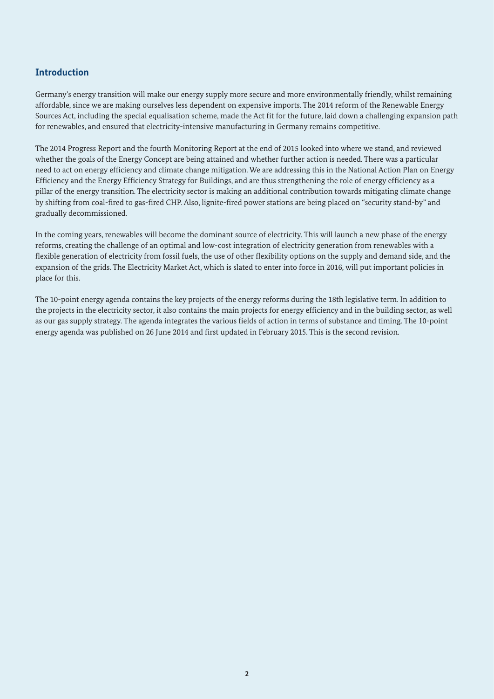## **Introduction**

Germany's energy transition will make our energy supply more secure and more environmentally friendly, whilst remaining affordable, since we are making ourselves less dependent on expensive imports. The 2014 reform of the Renewable Energy Sources Act, including the special equalisation scheme, made the Act fit for the future, laid down a challenging expansion path for renewables, and ensured that electricity-intensive manufacturing in Germany remains competitive.

The 2014 Progress Report and the fourth Monitoring Report at the end of 2015 looked into where we stand, and reviewed whether the goals of the Energy Concept are being attained and whether further action is needed. There was a particular need to act on energy efficiency and climate change mitigation. We are addressing this in the National Action Plan on Energy Efficiency and the Energy Efficiency Strategy for Buildings, and are thus strengthening the role of energy efficiency as a pillar of the energy transition. The electricity sector is making an additional contribution towards mitigating climate change by shifting from coal-fired to gas-fired CHP. Also, lignite-fired power stations are being placed on "security stand-by" and gradually decommissioned.

In the coming years, renewables will become the dominant source of electricity. This will launch a new phase of the energy reforms, creating the challenge of an optimal and low-cost integration of electricity generation from renewables with a flexible generation of electricity from fossil fuels, the use of other flexibility options on the supply and demand side, and the expansion of the grids. The Electricity Market Act, which is slated to enter into force in 2016, will put important policies in place for this.

The 10-point energy agenda contains the key projects of the energy reforms during the 18th legislative term. In addition to the projects in the electricity sector, it also contains the main projects for energy efficiency and in the building sector, as well as our gas supply strategy. The agenda integrates the various fields of action in terms of substance and timing. The 10-point energy agenda was published on 26 June 2014 and first updated in February 2015. This is the second revision.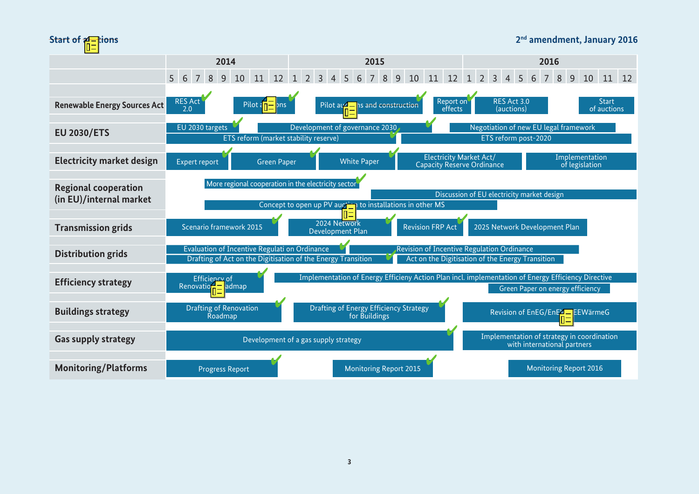

#### **2nd amendment, January 2016**

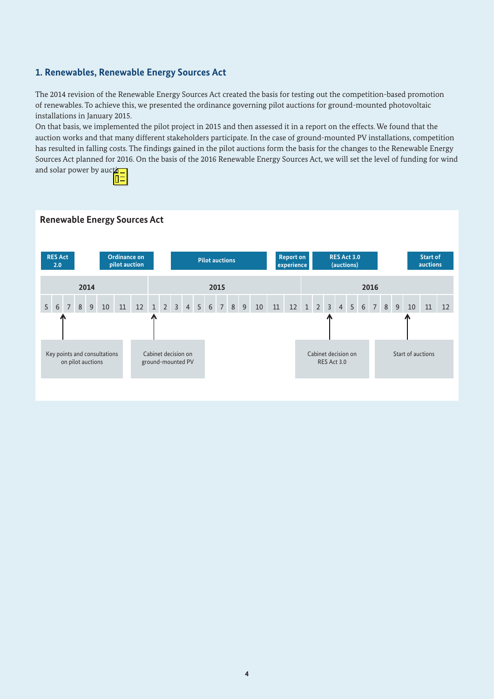## **1. Renewables, Renewable Energy Sources Act**

The 2014 revision of the Renewable Energy Sources Act created the basis for testing out the competition-based promotion of renewables. To achieve this, we presented the ordinance governing pilot auctions for ground-mounted photovoltaic installations in January 2015.

On that basis, we implemented the pilot project in 2015 and then assessed it in a report on the effects. We found that the auction works and that many different stakeholders participate. In the case of ground-mounted PV installations, competition has resulted in falling costs. The findings gained in the pilot auctions form the basis for the changes to the Renewable Energy Sources Act planned for 2016. On the basis of the 2016 Renewable Energy Sources Act, we will set the level of funding for wind and solar power by auction



#### **Renewable Energy Sources Act**

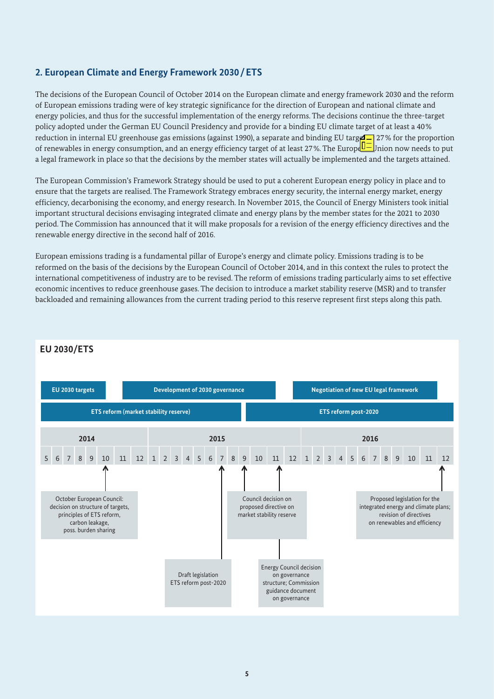## **2. European Climate and Energy Framework 2030/ETS**

The decisions of the European Council of October 2014 on the European climate and energy framework 2030 and the reform of European emissions trading were of key strategic significance for the direction of European and national climate and energy policies, and thus for the successful implementation of the energy reforms. The decisions continue the three-target policy adopted under the German EU Council Presidency and provide for a binding EU climate target of at least a 40% reduction in internal EU greenhouse gas emissions (against 1990), a separate and binding EU target  $\sim$  27% for the proportion of renewables in energy consumption, and an energy efficiency target of at least 27%. The Europe U-Jnion now needs to put a legal framework in place so that the decisions by the member states will actually be implemented and the targets attained.

The European Commission's Framework Strategy should be used to put a coherent European energy policy in place and to ensure that the targets are realised. The Framework Strategy embraces energy security, the internal energy market, energy efficiency, decarbonising the economy, and energy research. In November 2015, the Council of Energy Ministers took initial important structural decisions envisaging integrated climate and energy plans by the member states for the 2021 to 2030 period. The Commission has announced that it will make proposals for a revision of the energy efficiency directives and the renewable energy directive in the second half of 2016.

European emissions trading is a fundamental pillar of Europe's energy and climate policy. Emissions trading is to be reformed on the basis of the decisions by the European Council of October 2014, and in this context the rules to protect the international competitiveness of industry are to be revised. The reform of emissions trading particularly aims to set effective economic incentives to reduce greenhouse gases. The decision to introduce a market stability reserve (MSR) and to transfer backloaded and remaining allowances from the current trading period to this reserve represent first steps along this path.



## **EU 2030/ETS**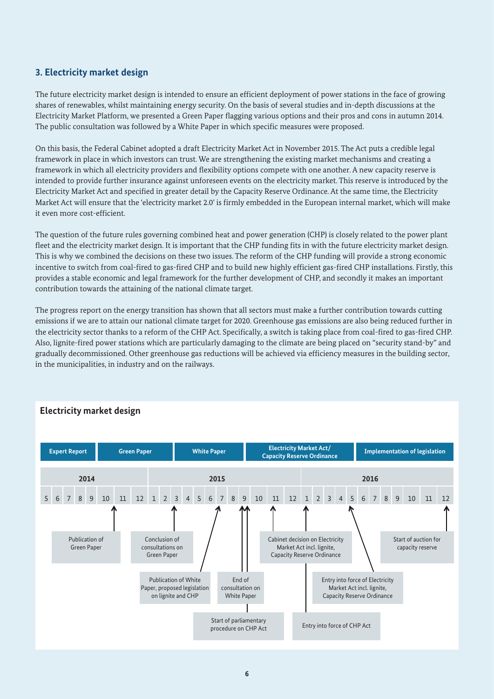# **3. Electricity market design**

The future electricity market design is intended to ensure an efficient deployment of power stations in the face of growing shares of renewables, whilst maintaining energy security. On the basis of several studies and in-depth discussions at the Electricity Market Platform, we presented a Green Paper flagging various options and their pros and cons in autumn 2014. The public consultation was followed by a White Paper in which specific measures were proposed.

On this basis, the Federal Cabinet adopted a draft Electricity Market Act in November 2015. The Act puts a credible legal framework in place in which investors can trust. We are strengthening the existing market mechanisms and creating a framework in which all electricity providers and flexibility options compete with one another. A new capacity reserve is intended to provide further insurance against unforeseen events on the electricity market. This reserve is introduced by the Electricity Market Act and specified in greater detail by the Capacity Reserve Ordinance. At the same time, the Electricity Market Act will ensure that the 'electricity market 2.0' is firmly embedded in the European internal market, which will make it even more cost-efficient.

The question of the future rules governing combined heat and power generation (CHP) is closely related to the power plant fleet and the electricity market design. It is important that the CHP funding fits in with the future electricity market design. This is why we combined the decisions on these two issues. The reform of the CHP funding will provide a strong economic incentive to switch from coal-fired to gas-fired CHP and to build new highly efficient gas-fired CHP installations. Firstly, this provides a stable economic and legal framework for the further development of CHP, and secondly it makes an important contribution towards the attaining of the national climate target.

The progress report on the energy transition has shown that all sectors must make a further contribution towards cutting emissions if we are to attain our national climate target for 2020. Greenhouse gas emissions are also being reduced further in the electricity sector thanks to a reform of the CHP Act. Specifically, a switch is taking place from coal-fired to gas-fired CHP. Also, lignite-fired power stations which are particularly damaging to the climate are being placed on "security stand-by" and gradually decommissioned. Other greenhouse gas reductions will be achieved via efficiency measures in the building sector, in the municipalities, in industry and on the railways.



# **Electricity market design**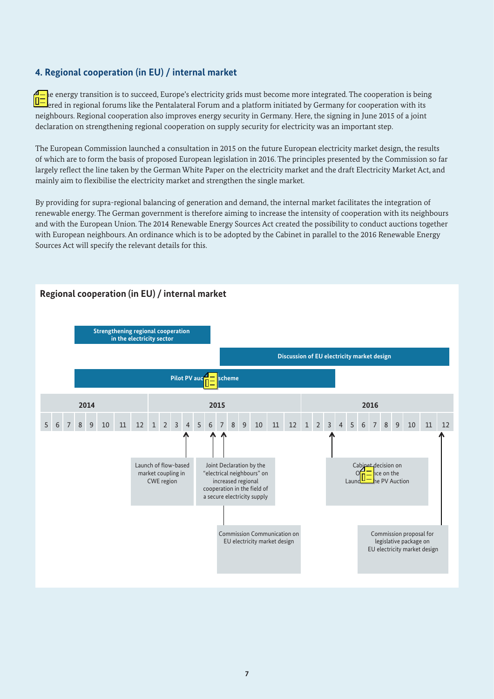## **4. Regional cooperation (in EU) / internal market**

le energy transition is to succeed, Europe's electricity grids must become more integrated. The cooperation is being ered in regional forums like the Pentalateral Forum and a platform initiated by Germany for cooperation with its neighbours. Regional cooperation also improves energy security in Germany. Here, the signing in June 2015 of a joint declaration on strengthening regional cooperation on supply security for electricity was an important step.

The European Commission launched a consultation in 2015 on the future European electricity market design, the results of which are to form the basis of proposed European legislation in 2016. The principles presented by the Commission so far largely reflect the line taken by the German White Paper on the electricity market and the draft Electricity Market Act, and mainly aim to flexibilise the electricity market and strengthen the single market.

By providing for supra-regional balancing of generation and demand, the internal market facilitates the integration of renewable energy. The German government is therefore aiming to increase the intensity of cooperation with its neighbours and with the European Union. The 2014 Renewable Energy Sources Act created the possibility to conduct auctions together with European neighbours. An ordinance which is to be adopted by the Cabinet in parallel to the 2016 Renewable Energy Sources Act will specify the relevant details for this.

### **Regional cooperation (in EU) / internal market**

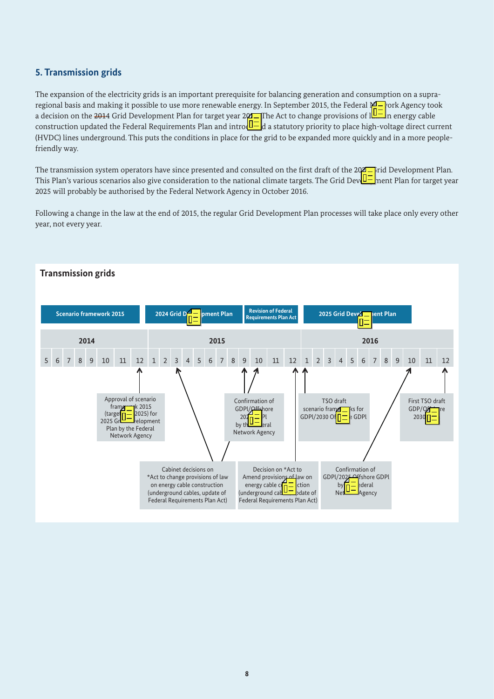# **5. Transmission grids**

The expansion of the electricity grids is an important prerequisite for balancing generation and consumption on a supraregional basis and making it possible to use more renewable energy. In September 2015, the Federal  $\cancel{\mathcal{M}}$ -vork Agency took a decision on the <del>201</del>4 Grid Development Plan for target year 2014. The Act to change provisions of l**ub** In energy cable construction updated the Federal Requirements Plan and introd $U-$ d a statutory priority to place high-voltage direct current (HVDC) lines underground. This puts the conditions in place for the grid to be expanded more quickly and in a more peoplefriendly way.

The transmission system operators have since presented and consulted on the first draft of the  $202$  Firid Development Plan. This Plan's various scenarios also give consideration to the national climate targets. The Grid Dev $\Box$ ment Plan for target year 2025 will probably be authorised by the Federal Network Agency in October 2016.

Following a change in the law at the end of 2015, the regular Grid Development Plan processes will take place only every other year, not every year.

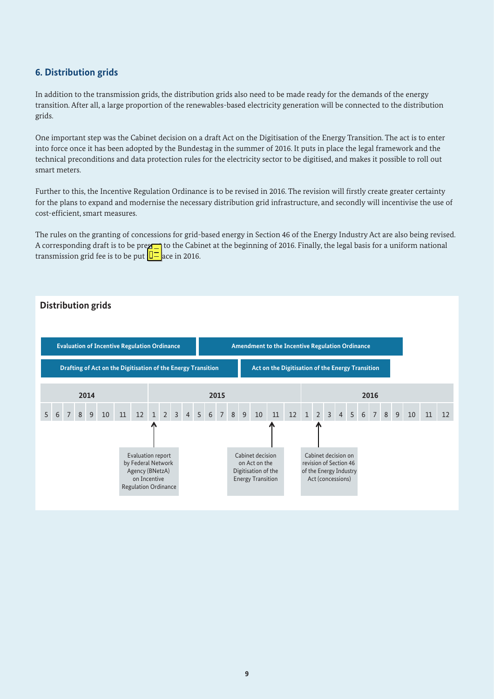## **6. Distribution grids**

In addition to the transmission grids, the distribution grids also need to be made ready for the demands of the energy transition. After all, a large proportion of the renewables-based electricity generation will be connected to the distribution grids.

One important step was the Cabinet decision on a draft Act on the Digitisation of the Energy Transition. The act is to enter into force once it has been adopted by the Bundestag in the summer of 2016. It puts in place the legal framework and the technical preconditions and data protection rules for the electricity sector to be digitised, and makes it possible to roll out smart meters.

Further to this, the Incentive Regulation Ordinance is to be revised in 2016. The revision will firstly create greater certainty for the plans to expand and modernise the necessary distribution grid infrastructure, and secondly will incentivise the use of cost-efficient, smart measures.

The rules on the granting of concessions for grid-based energy in Section 46 of the Energy Industry Act are also being revised. A corresponding draft is to be prex<sup>1</sup> to the Cabinet at the beginning of 2016. Finally, the legal basis for a uniform national transmission grid fee is to be put  $\sqrt{\frac{1}{n}}$  ace in 2016.

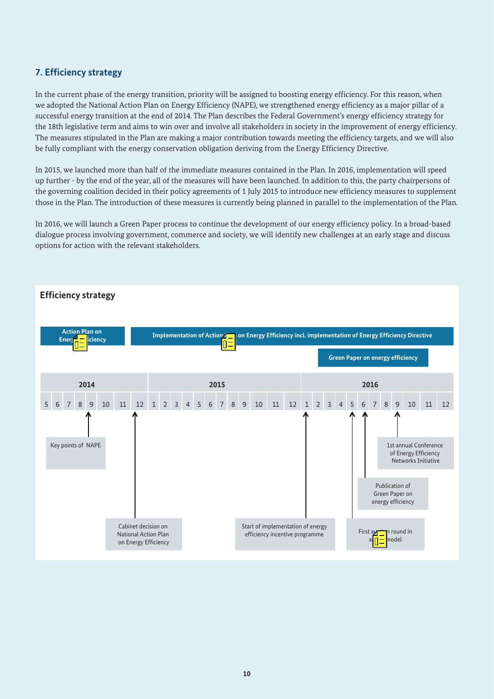# **7. Efficiency strategy**

In the current phase of the energy transition, priority will be assigned to boosting energy efficiency. For this reason, when we adopted the National Action Plan on Energy Efficiency (NAPE), we strengthened energy efficiency as a major pillar of a successful energy transition at the end of 2014. The Plan describes the Federal Government's energy efficiency strategy for the 18th legislative term and aims to win over and involve all stakeholders in society in the improvement of energy efficiency. The measures stipulated in the Plan are making a major contribution towards meeting the efficiency targets, and we will also be fully compliant with the energy conservation obligation deriving from the Energy Efficiency Directive.

In 2015, we launched more than half of the immediate measures contained in the Plan. In 2016, implementation will speed up further - by the end of the year, all of the measures will have been launched. In addition to this, the party chairpersons of the governing coalition decided in their policy agreements of 1 July 2015 to introduce new efficiency measures to supplement those in the Plan. The introduction of these measures is currently being planned in parallel to the implementation of the Plan.

In 2016, we will launch a Green Paper process to continue the development of our energy efficiency policy. In a broad-based dialogue process involving government, commerce and society, we will identify new challenges at an early stage and discuss options for action with the relevant stakeholders.

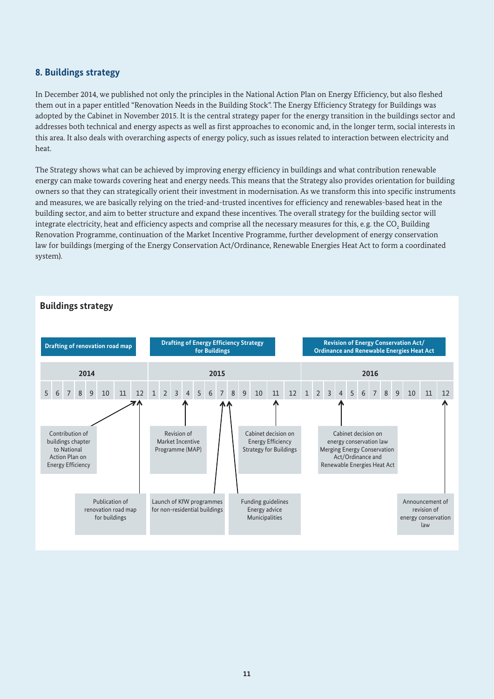## **8. Buildings strategy**

In December 2014, we published not only the principles in the National Action Plan on Energy Efficiency, but also fleshed them out in a paper entitled "Renovation Needs in the Building Stock". The Energy Efficiency Strategy for Buildings was adopted by the Cabinet in November 2015. It is the central strategy paper for the energy transition in the buildings sector and addresses both technical and energy aspects as well as first approaches to economic and, in the longer term, social interests in this area. It also deals with overarching aspects of energy policy, such as issues related to interaction between electricity and heat.

The Strategy shows what can be achieved by improving energy efficiency in buildings and what contribution renewable energy can make towards covering heat and energy needs. This means that the Strategy also provides orientation for building owners so that they can strategically orient their investment in modernisation. As we transform this into specific instruments and measures, we are basically relying on the tried-and-trusted incentives for efficiency and renewables-based heat in the building sector, and aim to better structure and expand these incentives. The overall strategy for the building sector will integrate electricity, heat and efficiency aspects and comprise all the necessary measures for this, e.g. the CO $_{_2}$  Building Renovation Programme, continuation of the Market Incentive Programme, further development of energy conservation law for buildings (merging of the Energy Conservation Act/Ordinance, Renewable Energies Heat Act to form a coordinated system).

#### **Buildings strategy**

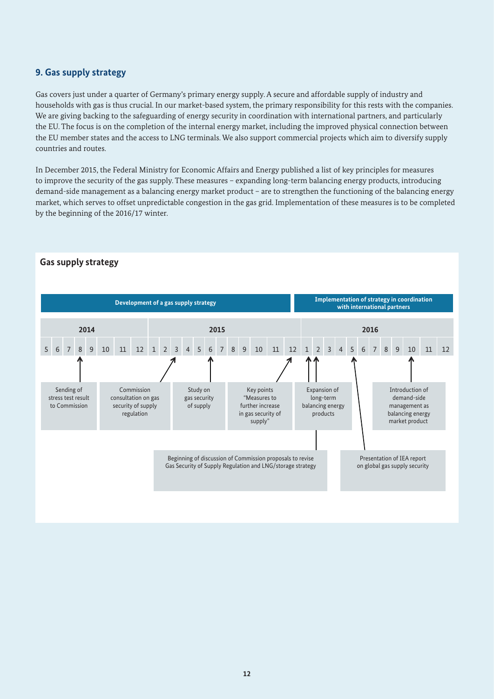## **9. Gas supply strategy**

Gas covers just under a quarter of Germany's primary energy supply. A secure and affordable supply of industry and households with gas is thus crucial. In our market-based system, the primary responsibility for this rests with the companies. We are giving backing to the safeguarding of energy security in coordination with international partners, and particularly the EU. The focus is on the completion of the internal energy market, including the improved physical connection between the EU member states and the access to LNG terminals. We also support commercial projects which aim to diversify supply countries and routes.

In December 2015, the Federal Ministry for Economic Affairs and Energy published a list of key principles for measures to improve the security of the gas supply. These measures – expanding long-term balancing energy products, introducing demand-side management as a balancing energy market product – are to strengthen the functioning of the balancing energy market, which serves to offset unpredictable congestion in the gas grid. Implementation of these measures is to be completed by the beginning of the 2016/17 winter.



#### **Gas supply strategy**